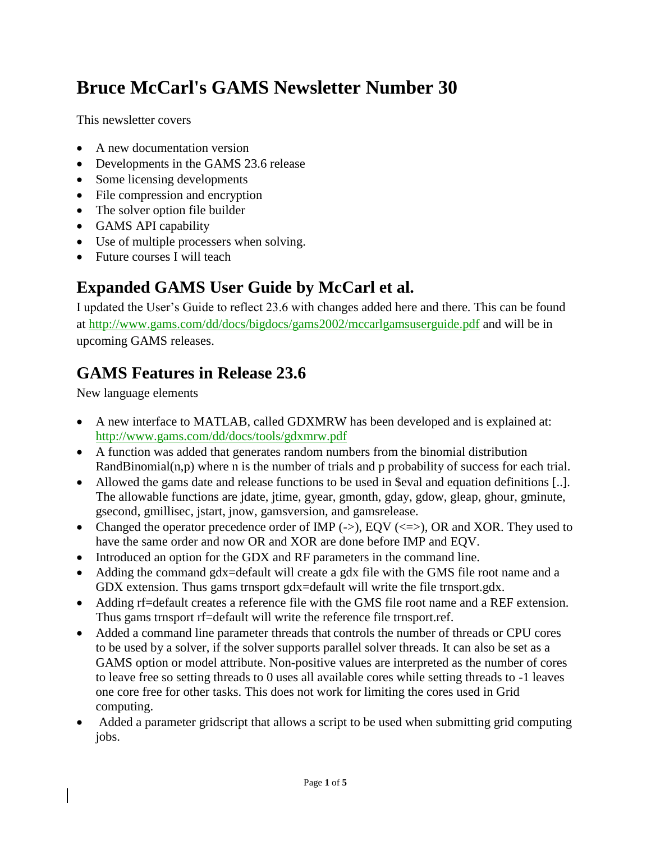# **Bruce McCarl's GAMS Newsletter Number 30**

This newsletter covers

- A new documentation version
- Developments in the GAMS 23.6 release
- Some licensing developments
- File compression and encryption
- The solver option file builder
- GAMS API capability
- Use of multiple processers when solving.
- Future courses I will teach

### **Expanded GAMS User Guide by McCarl et al.**

I updated the User's Guide to reflect 23.6 with changes added here and there. This can be found at<http://www.gams.com/dd/docs/bigdocs/gams2002/mccarlgamsuserguide.pdf> and will be in upcoming GAMS releases.

# **GAMS Features in Release 23.6**

New language elements

- A new interface to MATLAB, called GDXMRW has been developed and is explained at: <http://www.gams.com/dd/docs/tools/gdxmrw.pdf>
- A function was added that generates random numbers from the binomial distribution RandBinomial(n,p) where n is the number of trials and p probability of success for each trial.
- Allowed the gams date and release functions to be used in \$eval and equation definitions [..]. The allowable functions are jdate, jtime, gyear, gmonth, gday, gdow, gleap, ghour, gminute, gsecond, gmillisec, jstart, jnow, gamsversion, and gamsrelease.
- Changed the operator precedence order of IMP  $(-)$ , EQV  $(\leq)=$ ), OR and XOR. They used to have the same order and now OR and XOR are done before IMP and EQV.
- Introduced an option for the GDX and RF parameters in the command line.
- Adding the command gdx=default will create a gdx file with the GMS file root name and a GDX extension. Thus gams trnsport gdx=default will write the file trnsport.gdx.
- Adding rf=default creates a reference file with the GMS file root name and a REF extension. Thus gams trnsport rf=default will write the reference file trnsport.ref.
- Added a command line parameter threads that controls the number of threads or CPU cores to be used by a solver, if the solver supports parallel solver threads. It can also be set as a GAMS option or model attribute. Non-positive values are interpreted as the number of cores to leave free so setting threads to 0 uses all available cores while setting threads to -1 leaves one core free for other tasks. This does not work for limiting the cores used in Grid computing.
- Added a parameter gridscript that allows a script to be used when submitting grid computing jobs.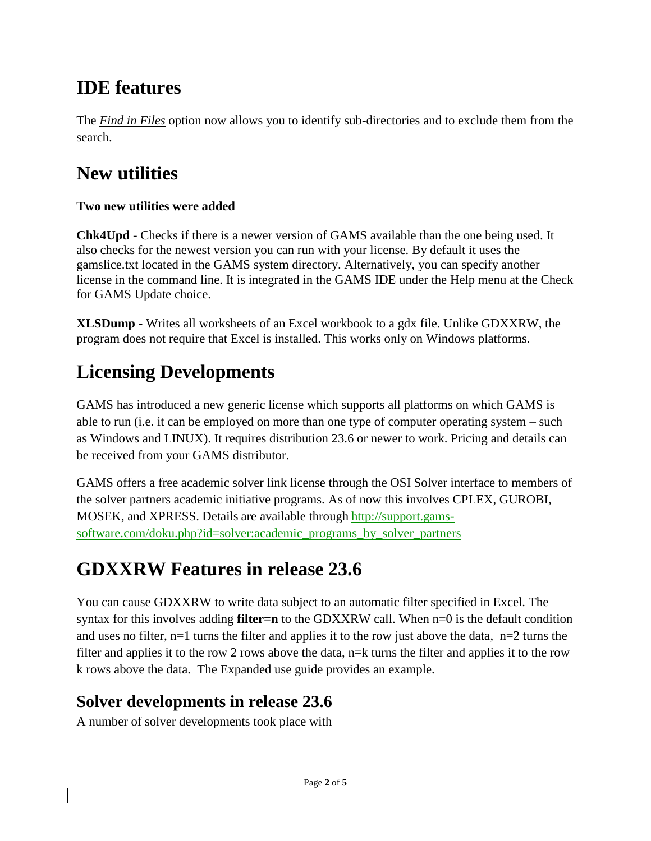# **IDE features**

The *Find in Files* option now allows you to identify sub-directories and to exclude them from the search.

# **New utilities**

#### **Two new utilities were added**

**Chk4Upd -** Checks if there is a newer version of GAMS available than the one being used. It also checks for the newest version you can run with your license. By default it uses the gamslice.txt located in the GAMS system directory. Alternatively, you can specify another license in the command line. It is integrated in the GAMS IDE under the Help menu at the Check for GAMS Update choice.

**XLSDump -** Writes all worksheets of an Excel workbook to a gdx file. Unlike GDXXRW, the program does not require that Excel is installed. This works only on Windows platforms.

# **Licensing Developments**

GAMS has introduced a new generic license which supports all platforms on which GAMS is able to run (i.e. it can be employed on more than one type of computer operating system – such as Windows and LINUX). It requires distribution 23.6 or newer to work. Pricing and details can be received from your GAMS distributor.

GAMS offers a free academic solver link license through the OSI Solver interface to members of the solver partners academic initiative programs. As of now this involves CPLEX, GUROBI, MOSEK, and XPRESS. Details are available through [http://support.gams](http://support.gams-software.com/doku.php?id=solver:academic_programs_by_solver_partners)[software.com/doku.php?id=solver:academic\\_programs\\_by\\_solver\\_partners](http://support.gams-software.com/doku.php?id=solver:academic_programs_by_solver_partners)

# **GDXXRW Features in release 23.6**

You can cause GDXXRW to write data subject to an automatic filter specified in Excel. The syntax for this involves adding **filter=n** to the GDXXRW call. When n=0 is the default condition and uses no filter, n=1 turns the filter and applies it to the row just above the data,  $n=2$  turns the filter and applies it to the row 2 rows above the data, n=k turns the filter and applies it to the row k rows above the data. The Expanded use guide provides an example.

#### **Solver developments in release 23.6**

A number of solver developments took place with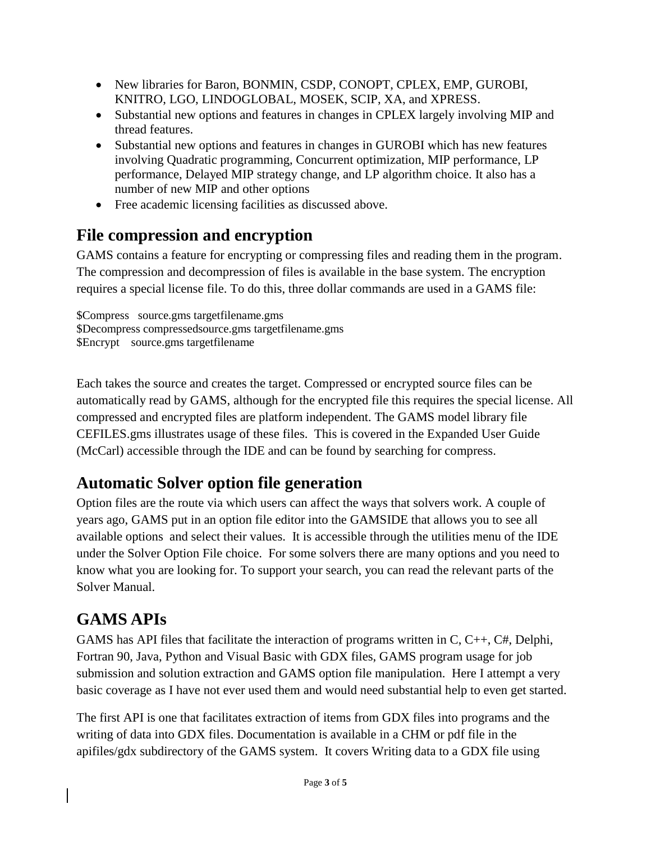- New libraries for Baron, BONMIN, CSDP, CONOPT, CPLEX, EMP, GUROBI, KNITRO, LGO, LINDOGLOBAL, MOSEK, SCIP, XA, and XPRESS.
- Substantial new options and features in changes in CPLEX largely involving MIP and thread features.
- Substantial new options and features in changes in GUROBI which has new features involving Quadratic programming, Concurrent optimization, MIP performance, LP performance, Delayed MIP strategy change, and LP algorithm choice. It also has a number of new MIP and other options
- Free academic licensing facilities as discussed above.

### **File compression and encryption**

GAMS contains a feature for encrypting or compressing files and reading them in the program. The compression and decompression of files is available in the base system. The encryption requires a special license file. To do this, three dollar commands are used in a GAMS file:

\$Compress source.gms targetfilename.gms \$Decompress compressedsource.gms targetfilename.gms \$Encrypt source.gms targetfilename

Each takes the source and creates the target. Compressed or encrypted source files can be automatically read by GAMS, although for the encrypted file this requires the special license. All compressed and encrypted files are platform independent. The GAMS model library file CEFILES.gms illustrates usage of these files. This is covered in the Expanded User Guide (McCarl) accessible through the IDE and can be found by searching for compress.

# **Automatic Solver option file generation**

Option files are the route via which users can affect the ways that solvers work. A couple of years ago, GAMS put in an option file editor into the GAMSIDE that allows you to see all available options and select their values. It is accessible through the utilities menu of the IDE under the Solver Option File choice. For some solvers there are many options and you need to know what you are looking for. To support your search, you can read the relevant parts of the Solver Manual.

# **GAMS APIs**

GAMS has API files that facilitate the interaction of programs written in C, C++, C#, Delphi, Fortran 90, Java, Python and Visual Basic with GDX files, GAMS program usage for job submission and solution extraction and GAMS option file manipulation. Here I attempt a very basic coverage as I have not ever used them and would need substantial help to even get started.

The first API is one that facilitates extraction of items from GDX files into programs and the writing of data into GDX files. Documentation is available in a CHM or pdf file in the apifiles/gdx subdirectory of the GAMS system. It covers Writing data to a GDX file using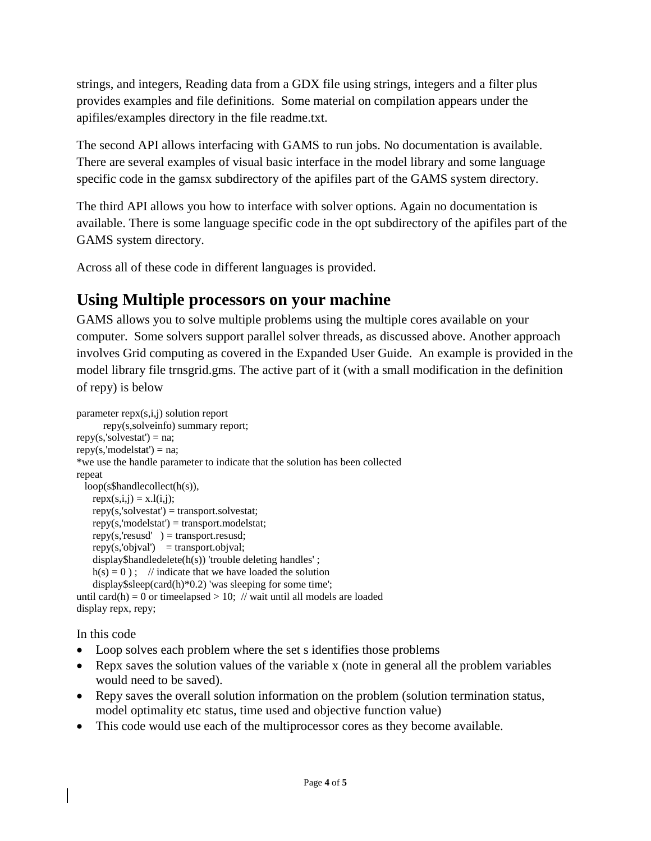strings, and integers, Reading data from a GDX file using strings, integers and a filter plus provides examples and file definitions. Some material on compilation appears under the apifiles/examples directory in the file readme.txt.

The second API allows interfacing with GAMS to run jobs. No documentation is available. There are several examples of visual basic interface in the model library and some language specific code in the gamsx subdirectory of the apifiles part of the GAMS system directory.

The third API allows you how to interface with solver options. Again no documentation is available. There is some language specific code in the opt subdirectory of the apifiles part of the GAMS system directory.

Across all of these code in different languages is provided.

### **Using Multiple processors on your machine**

GAMS allows you to solve multiple problems using the multiple cores available on your computer. Some solvers support parallel solver threads, as discussed above. Another approach involves Grid computing as covered in the Expanded User Guide. An example is provided in the model library file trnsgrid.gms. The active part of it (with a small modification in the definition of repy) is below

```
parameter repx(s,i,j) solution report
       repy(s,solveinfo) summary report;
repy(s, 'solvestat') = na;repy(s, 'modelstat') = na;*we use the handle parameter to indicate that the solution has been collected
repeat
  loop(s$handlecollect(h(s)),
   rep(x(i,j)) = x.l(i,j);repy(s, 'solvestat') = transport. solvestat;repy(s, 'modelstat') = transport.modelstat;repy(s, 'results'') = transport.resusd;repy(s, 'objval') = transport.objval; display$handledelete(h(s)) 'trouble deleting handles' ;
   h(s) = 0); // indicate that we have loaded the solution
    display$sleep(card(h)*0.2) 'was sleeping for some time';
until card(h) = 0 or times dependently 10; // wait until all models are loaded
display repx, repy;
```
In this code

- Loop solves each problem where the set s identifies those problems
- Repx saves the solution values of the variable x (note in general all the problem variables would need to be saved).
- Repy saves the overall solution information on the problem (solution termination status, model optimality etc status, time used and objective function value)
- This code would use each of the multiprocessor cores as they become available.